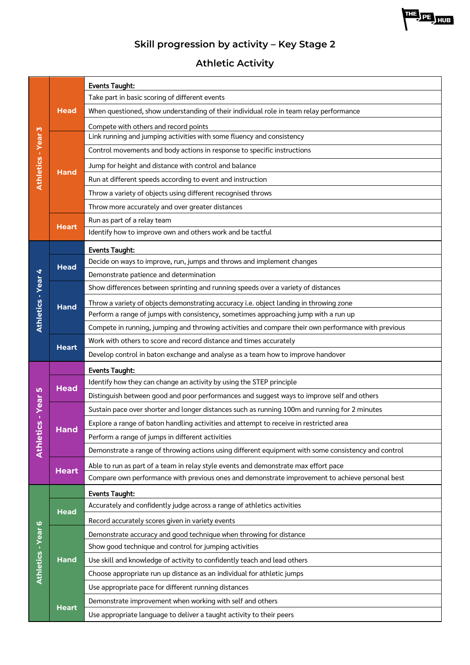

# **Athletic Activity**

|                              |              | <b>Events Taught:</b>                                                                               |
|------------------------------|--------------|-----------------------------------------------------------------------------------------------------|
|                              | <b>Head</b>  | Take part in basic scoring of different events                                                      |
| M<br><b>Athletics - Year</b> |              | When questioned, show understanding of their individual role in team relay performance              |
|                              |              | Compete with others and record points                                                               |
|                              | <b>Hand</b>  | Link running and jumping activities with some fluency and consistency                               |
|                              |              | Control movements and body actions in response to specific instructions                             |
|                              |              | Jump for height and distance with control and balance                                               |
|                              |              | Run at different speeds according to event and instruction                                          |
|                              |              | Throw a variety of objects using different recognised throws                                        |
|                              |              | Throw more accurately and over greater distances                                                    |
|                              |              | Run as part of a relay team                                                                         |
|                              | <b>Heart</b> | Identify how to improve own and others work and be tactful                                          |
|                              |              | <b>Events Taught:</b>                                                                               |
|                              | <b>Head</b>  | Decide on ways to improve, run, jumps and throws and implement changes                              |
|                              |              | Demonstrate patience and determination                                                              |
| Athletics - Year 4           |              | Show differences between sprinting and running speeds over a variety of distances                   |
|                              | <b>Hand</b>  | Throw a variety of objects demonstrating accuracy i.e. object landing in throwing zone              |
|                              |              | Perform a range of jumps with consistency, sometimes approaching jump with a run up                 |
|                              |              | Compete in running, jumping and throwing activities and compare their own performance with previous |
|                              | <b>Heart</b> | Work with others to score and record distance and times accurately                                  |
|                              |              | Develop control in baton exchange and analyse as a team how to improve handover                     |
|                              |              | <b>Events Taught:</b>                                                                               |
|                              | <b>Head</b>  | Identify how they can change an activity by using the STEP principle                                |
| <b>LO</b>                    |              | Distinguish between good and poor performances and suggest ways to improve self and others          |
| cs - Year                    |              | Sustain pace over shorter and longer distances such as running 100m and running for 2 minutes       |
|                              | Hand         | Explore a range of baton handling activities and attempt to receive in restricted area              |
|                              |              | Perform a range of jumps in different activities                                                    |
| Athleti                      |              | Demonstrate a range of throwing actions using different equipment with some consistency and control |
|                              | <b>Heart</b> | Able to run as part of a team in relay style events and demonstrate max effort pace                 |
|                              |              | Compare own performance with previous ones and demonstrate improvement to achieve personal best     |
|                              |              | <b>Events Taught:</b>                                                                               |
|                              | <b>Head</b>  | Accurately and confidently judge across a range of athletics activities                             |
| ဖ                            |              | Record accurately scores given in variety events                                                    |
|                              |              | Demonstrate accuracy and good technique when throwing for distance                                  |
| Athletics - Year             |              | Show good technique and control for jumping activities                                              |
|                              | <b>Hand</b>  | Use skill and knowledge of activity to confidently teach and lead others                            |
|                              |              | Choose appropriate run up distance as an individual for athletic jumps                              |
|                              |              | Use appropriate pace for different running distances                                                |
|                              | <b>Heart</b> | Demonstrate improvement when working with self and others                                           |
|                              |              | Use appropriate language to deliver a taught activity to their peers                                |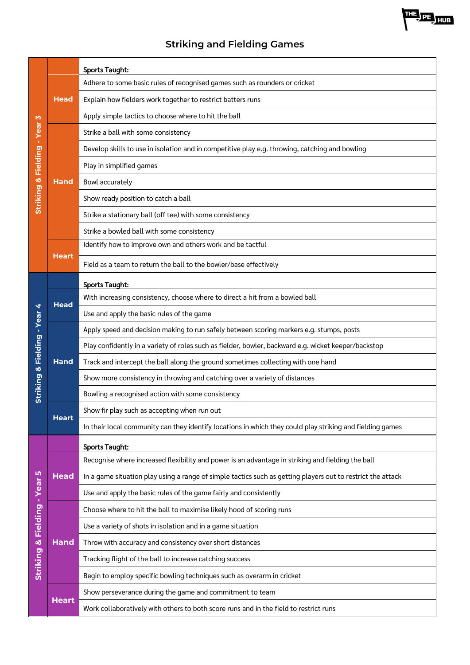# **Striking and Fielding Games**

|                              |              | <b>Sports Taught:</b>                                                                                       |
|------------------------------|--------------|-------------------------------------------------------------------------------------------------------------|
| Striking & Fielding - Year 3 | <b>Head</b>  | Adhere to some basic rules of recognised games such as rounders or cricket                                  |
|                              |              | Explain how fielders work together to restrict batters runs                                                 |
|                              |              | Apply simple tactics to choose where to hit the ball                                                        |
|                              |              | Strike a ball with some consistency                                                                         |
|                              |              | Develop skills to use in isolation and in competitive play e.g. throwing, catching and bowling              |
|                              | Hand         | Play in simplified games                                                                                    |
|                              |              | Bowl accurately                                                                                             |
|                              |              | Show ready position to catch a ball                                                                         |
|                              |              | Strike a stationary ball (off tee) with some consistency                                                    |
|                              |              | Strike a bowled ball with some consistency                                                                  |
|                              |              | Identify how to improve own and others work and be tactful                                                  |
|                              | <b>Heart</b> | Field as a team to return the ball to the bowler/base effectively                                           |
|                              |              | <b>Sports Taught:</b>                                                                                       |
|                              | <b>Head</b>  | With increasing consistency, choose where to direct a hit from a bowled ball                                |
|                              |              | Use and apply the basic rules of the game                                                                   |
|                              |              | Apply speed and decision making to run safely between scoring markers e.g. stumps, posts                    |
|                              | <b>Hand</b>  | Play confidently in a variety of roles such as fielder, bowler, backward e.g. wicket keeper/backstop        |
| Striking & Fielding - Year 4 |              | Track and intercept the ball along the ground sometimes collecting with one hand                            |
|                              |              | Show more consistency in throwing and catching over a variety of distances                                  |
|                              |              | Bowling a recognised action with some consistency                                                           |
|                              | <b>Heart</b> | Show fir play such as accepting when run out                                                                |
|                              |              | In their local community can they identify locations in which they could play striking and fielding games   |
|                              |              | <b>Sports Taught:</b>                                                                                       |
|                              |              | Recognise where increased flexibility and power is an advantage in striking and fielding the ball           |
|                              | <b>Head</b>  | In a game situation play using a range of simple tactics such as getting players out to restrict the attack |
|                              |              | Use and apply the basic rules of the game fairly and consistently                                           |
|                              |              | Choose where to hit the ball to maximise likely hood of scoring runs                                        |
|                              |              | Use a variety of shots in isolation and in a game situation                                                 |
|                              | <b>Hand</b>  | Throw with accuracy and consistency over short distances                                                    |
| Striking & Fielding - Year 5 |              | Tracking flight of the ball to increase catching success                                                    |
|                              |              | Begin to employ specific bowling techniques such as overarm in cricket                                      |
|                              | <b>Heart</b> | Show perseverance during the game and commitment to team                                                    |
|                              |              | Work collaboratively with others to both score runs and in the field to restrict runs                       |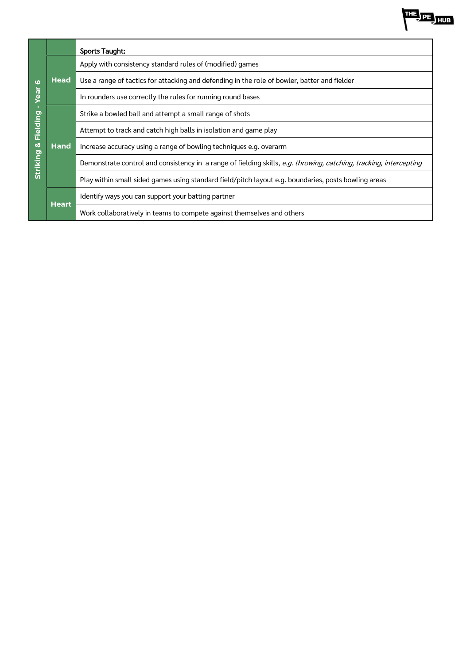

| $\boldsymbol{\omega}$<br><b>Tea</b><br>Fielding<br>×<br><b>Striking</b> |              | <b>Sports Taught:</b>                                                                                              |
|-------------------------------------------------------------------------|--------------|--------------------------------------------------------------------------------------------------------------------|
|                                                                         | <b>Head</b>  | Apply with consistency standard rules of (modified) games                                                          |
|                                                                         |              | Use a range of tactics for attacking and defending in the role of bowler, batter and fielder                       |
|                                                                         |              | In rounders use correctly the rules for running round bases                                                        |
|                                                                         | <b>Hand</b>  | Strike a bowled ball and attempt a small range of shots                                                            |
|                                                                         |              | Attempt to track and catch high balls in isolation and game play                                                   |
|                                                                         |              | Increase accuracy using a range of bowling techniques e.g. overarm                                                 |
|                                                                         |              | Demonstrate control and consistency in a range of fielding skills, e.g. throwing, catching, tracking, intercepting |
|                                                                         |              | Play within small sided games using standard field/pitch layout e.g. boundaries, posts bowling areas               |
|                                                                         | <b>Heart</b> | Identify ways you can support your batting partner                                                                 |
|                                                                         |              | Work collaboratively in teams to compete against themselves and others                                             |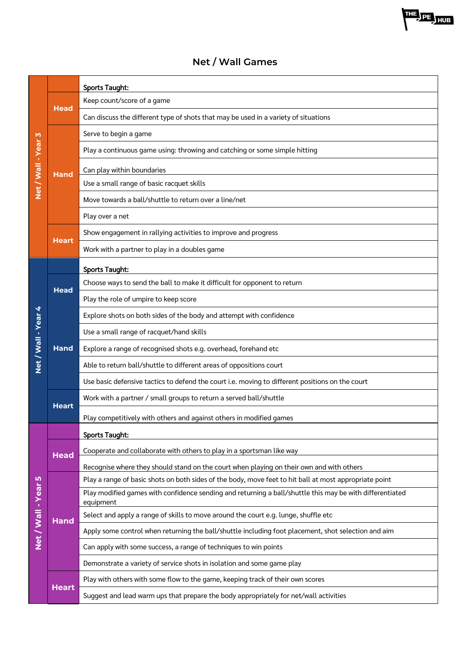#### Sports Taught: Keep count/score of a game **Head** Can discuss the different type of shots that may be used in a variety of situations Serve to begin a game Net / Wall - Year 3 **Net / Wall - Year 3** Play a continuous game using: throwing and catching or some simple hitting Can play within boundaries **Hand** Use a small range of basic racquet skills Move towards a ball/shuttle to return over a line/net Play over a net Show engagement in rallying activities to improve and progress **Heart** Work with a partner to play in a doubles game Sports Taught: Choose ways to send the ball to make it difficult for opponent to return **Head** Play the role of umpire to keep score **Net / Wall - Year 4 Net / Wall - Year 4** Explore shots on both sides of the body and attempt with confidence Use a small range of racquet/hand skills **Hand** Explore a range of recognised shots e.g. overhead, forehand etc Able to return ball/shuttle to different areas of oppositions court Use basic defensive tactics to defend the court i.e. moving to different positions on the court Work with a partner / small groups to return a served ball/shuttle **Heart** Play competitively with others and against others in modified games Sports Taught: **Head** Cooperate and collaborate with others to play in a sportsman like way Recognise where they should stand on the court when playing on their own and with others Net / Wall - Year 5 Play a range of basic shots on both sides of the body, move feet to hit ball at most appropriate point **Net / Wall - Year 5** Play modified games with confidence sending and returning a ball/shuttle this may be with differentiated equipment Select and apply a range of skills to move around the court e.g. lunge, shuffle etc **Hand** Apply some control when returning the ball/shuttle including foot placement, shot selection and aim Can apply with some success, a range of techniques to win points Demonstrate a variety of service shots in isolation and some game play Play with others with some flow to the game, keeping track of their own scores **Heart** Suggest and lead warm ups that prepare the body appropriately for net/wall activities

### **Net / Wall Games**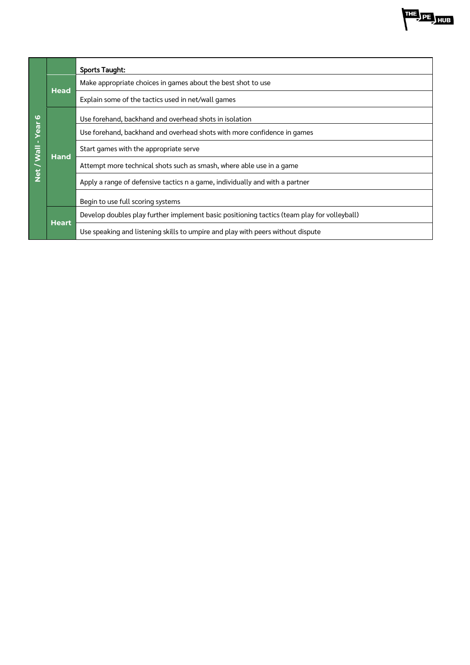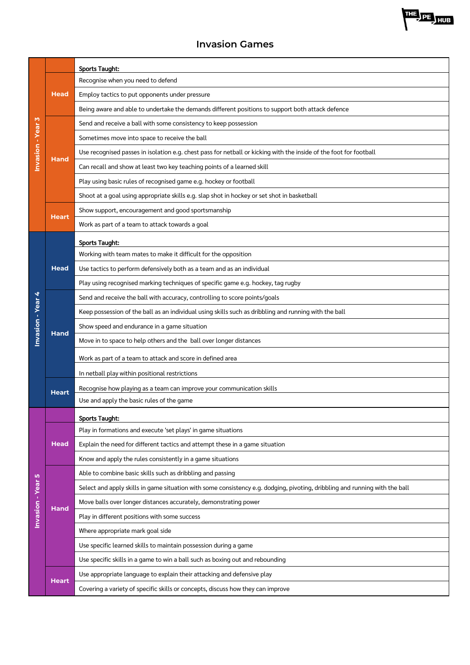### **Invasion Games**

| Invasion - Year 3 |              | <b>Sports Taught:</b>                                                                                                       |
|-------------------|--------------|-----------------------------------------------------------------------------------------------------------------------------|
|                   | <b>Head</b>  | Recognise when you need to defend                                                                                           |
|                   |              | Employ tactics to put opponents under pressure                                                                              |
|                   |              | Being aware and able to undertake the demands different positions to support both attack defence                            |
|                   | <b>Hand</b>  | Send and receive a ball with some consistency to keep possession                                                            |
|                   |              | Sometimes move into space to receive the ball                                                                               |
|                   |              | Use recognised passes in isolation e.g. chest pass for netball or kicking with the inside of the foot for football          |
|                   |              | Can recall and show at least two key teaching points of a learned skill                                                     |
|                   |              | Play using basic rules of recognised game e.g. hockey or football                                                           |
|                   |              | Shoot at a goal using appropriate skills e.g. slap shot in hockey or set shot in basketball                                 |
|                   |              | Show support, encouragement and good sportsmanship                                                                          |
|                   | <b>Heart</b> | Work as part of a team to attack towards a goal                                                                             |
|                   |              | <b>Sports Taught:</b>                                                                                                       |
|                   |              | Working with team mates to make it difficult for the opposition                                                             |
|                   | <b>Head</b>  | Use tactics to perform defensively both as a team and as an individual                                                      |
|                   |              | Play using recognised marking techniques of specific game e.g. hockey, tag rugby                                            |
| 4                 |              | Send and receive the ball with accuracy, controlling to score points/goals                                                  |
|                   | Hand         | Keep possession of the ball as an individual using skills such as dribbling and running with the ball                       |
| Invasion - Year   |              | Show speed and endurance in a game situation                                                                                |
|                   |              | Move in to space to help others and the ball over longer distances                                                          |
|                   |              | Work as part of a team to attack and score in defined area                                                                  |
|                   |              | In netball play within positional restrictions                                                                              |
|                   | <b>Heart</b> | Recognise how playing as a team can improve your communication skills                                                       |
|                   |              | Use and apply the basic rules of the game                                                                                   |
|                   |              | <b>Sports Taught:</b>                                                                                                       |
|                   |              | Play in formations and execute 'set plays' in game situations                                                               |
|                   | <b>Head</b>  | Explain the need for different tactics and attempt these in a game situation                                                |
|                   |              | Know and apply the rules consistently in a game situations                                                                  |
| Ю                 |              | Able to combine basic skills such as dribbling and passing                                                                  |
|                   |              | Select and apply skills in game situation with some consistency e.g. dodging, pivoting, dribbling and running with the ball |
| Invasion - Year   | <b>Hand</b>  | Move balls over longer distances accurately, demonstrating power                                                            |
|                   |              | Play in different positions with some success                                                                               |
|                   |              | Where appropriate mark goal side                                                                                            |
|                   |              | Use specific learned skills to maintain possession during a game                                                            |
|                   |              | Use specific skills in a game to win a ball such as boxing out and rebounding                                               |
|                   | <b>Heart</b> | Use appropriate language to explain their attacking and defensive play                                                      |
|                   |              | Covering a variety of specific skills or concepts, discuss how they can improve                                             |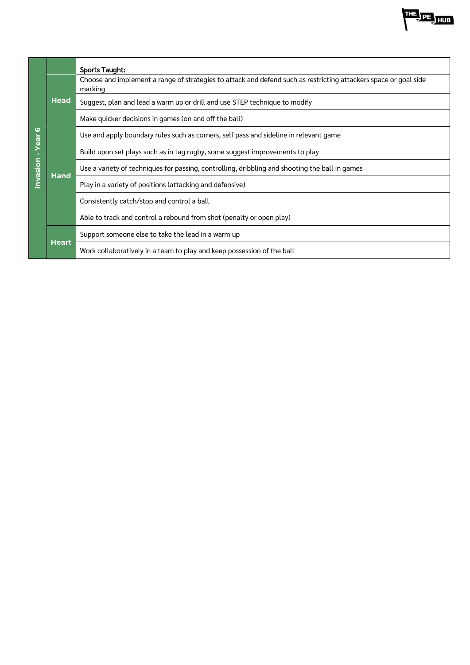

|         |              | <b>Sports Taught:</b>                                                                                                       |
|---------|--------------|-----------------------------------------------------------------------------------------------------------------------------|
|         | <b>Head</b>  | Choose and implement a range of strategies to attack and defend such as restricting attackers space or goal side<br>marking |
|         |              | Suggest, plan and lead a warm up or drill and use STEP technique to modify                                                  |
|         |              | Make quicker decisions in games (on and off the ball)                                                                       |
| ဖ<br>ලී | Hand         | Use and apply boundary rules such as corners, self pass and sideline in relevant game                                       |
|         |              | Build upon set plays such as in tag rugby, some suggest improvements to play                                                |
| nvasion |              | Use a variety of techniques for passing, controlling, dribbling and shooting the ball in games                              |
|         |              | Play in a variety of positions (attacking and defensive)                                                                    |
|         |              | Consistently catch/stop and control a ball                                                                                  |
|         |              | Able to track and control a rebound from shot (penalty or open play)                                                        |
|         | <b>Heart</b> | Support someone else to take the lead in a warm up                                                                          |
|         |              | Work collaboratively in a team to play and keep possession of the ball                                                      |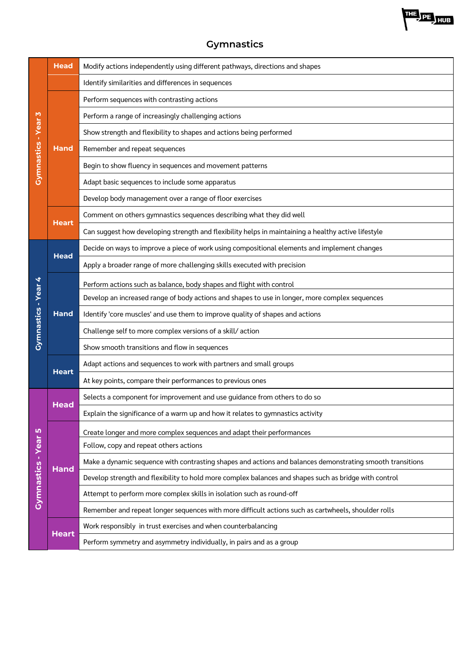

| M<br><b>Gymnastics - Year</b> | <b>Head</b>  | Modify actions independently using different pathways, directions and shapes                              |
|-------------------------------|--------------|-----------------------------------------------------------------------------------------------------------|
|                               |              | Identify similarities and differences in sequences                                                        |
|                               |              | Perform sequences with contrasting actions                                                                |
|                               | <b>Hand</b>  | Perform a range of increasingly challenging actions                                                       |
|                               |              | Show strength and flexibility to shapes and actions being performed                                       |
|                               |              | Remember and repeat sequences                                                                             |
|                               |              | Begin to show fluency in sequences and movement patterns                                                  |
|                               |              | Adapt basic sequences to include some apparatus                                                           |
|                               |              | Develop body management over a range of floor exercises                                                   |
|                               |              | Comment on others gymnastics sequences describing what they did well                                      |
|                               | <b>Heart</b> | Can suggest how developing strength and flexibility helps in maintaining a healthy active lifestyle       |
|                               |              | Decide on ways to improve a piece of work using compositional elements and implement changes              |
|                               | <b>Head</b>  | Apply a broader range of more challenging skills executed with precision                                  |
| 4                             |              | Perform actions such as balance, body shapes and flight with control                                      |
|                               |              | Develop an increased range of body actions and shapes to use in longer, more complex sequences            |
|                               | <b>Hand</b>  | Identify 'core muscles' and use them to improve quality of shapes and actions                             |
| <b>Gymnastics - Year</b>      |              | Challenge self to more complex versions of a skill/action                                                 |
|                               |              | Show smooth transitions and flow in sequences                                                             |
|                               |              | Adapt actions and sequences to work with partners and small groups                                        |
|                               | <b>Heart</b> | At key points, compare their performances to previous ones                                                |
|                               | Head         | Selects a component for improvement and use guidance from others to do so                                 |
|                               |              | Explain the significance of a warm up and how it relates to gymnastics activity                           |
|                               | <b>Hand</b>  | Create longer and more complex sequences and adapt their performances                                     |
|                               |              | Follow, copy and repeat others actions                                                                    |
|                               |              | Make a dynamic sequence with contrasting shapes and actions and balances demonstrating smooth transitions |
|                               |              | Develop strength and flexibility to hold more complex balances and shapes such as bridge with control     |
| Gymnastics - Year 5           |              | Attempt to perform more complex skills in isolation such as round-off                                     |
|                               |              | Remember and repeat longer sequences with more difficult actions such as cartwheels, shoulder rolls       |
|                               | <b>Heart</b> | Work responsibly in trust exercises and when counterbalancing                                             |
|                               |              | Perform symmetry and asymmetry individually, in pairs and as a group                                      |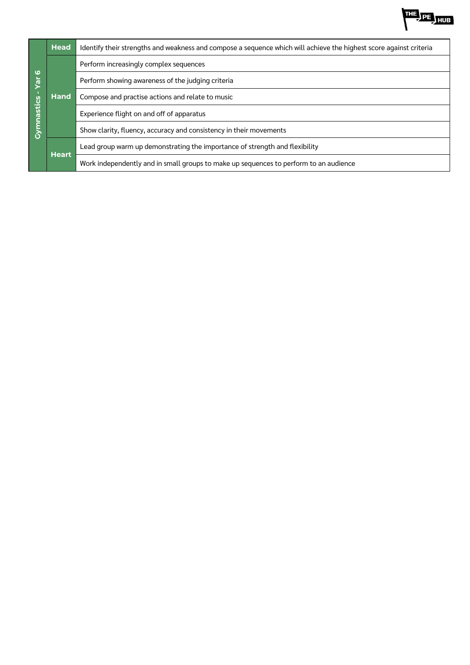

| $\boldsymbol{\omega}$<br>yar | <b>Head</b>  | Identify their strengths and weakness and compose a sequence which will achieve the highest score against criteria |
|------------------------------|--------------|--------------------------------------------------------------------------------------------------------------------|
|                              | <b>Hand</b>  | Perform increasingly complex sequences                                                                             |
|                              |              | Perform showing awareness of the judging criteria                                                                  |
|                              |              | Compose and practise actions and relate to music                                                                   |
| Cymnastics                   |              | Experience flight on and off of apparatus                                                                          |
|                              |              | Show clarity, fluency, accuracy and consistency in their movements                                                 |
|                              | <b>Heart</b> | Lead group warm up demonstrating the importance of strength and flexibility                                        |
|                              |              | Work independently and in small groups to make up sequences to perform to an audience                              |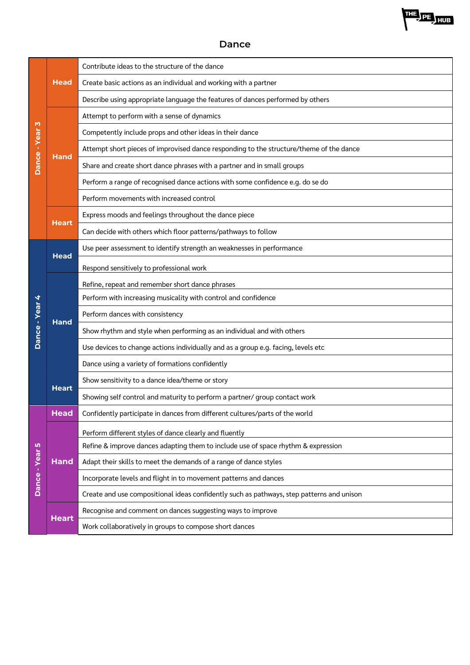

#### **Dance**

| M<br>Dance - Year | <b>Head</b>  | Contribute ideas to the structure of the dance                                            |
|-------------------|--------------|-------------------------------------------------------------------------------------------|
|                   |              | Create basic actions as an individual and working with a partner                          |
|                   |              | Describe using appropriate language the features of dances performed by others            |
|                   | <b>Hand</b>  | Attempt to perform with a sense of dynamics                                               |
|                   |              | Competently include props and other ideas in their dance                                  |
|                   |              | Attempt short pieces of improvised dance responding to the structure/theme of the dance   |
|                   |              | Share and create short dance phrases with a partner and in small groups                   |
|                   |              | Perform a range of recognised dance actions with some confidence e.g. do se do            |
|                   |              | Perform movements with increased control                                                  |
|                   |              | Express moods and feelings throughout the dance piece                                     |
|                   | <b>Heart</b> | Can decide with others which floor patterns/pathways to follow                            |
|                   |              | Use peer assessment to identify strength an weaknesses in performance                     |
|                   | <b>Head</b>  | Respond sensitively to professional work                                                  |
|                   |              | Refine, repeat and remember short dance phrases                                           |
|                   | <b>Hand</b>  | Perform with increasing musicality with control and confidence                            |
|                   |              | Perform dances with consistency                                                           |
| Dance - Year 4    |              | Show rhythm and style when performing as an individual and with others                    |
|                   |              | Use devices to change actions individually and as a group e.g. facing, levels etc         |
|                   |              | Dance using a variety of formations confidently                                           |
|                   |              | Show sensitivity to a dance idea/theme or story                                           |
|                   | <b>Heart</b> | Showing self control and maturity to perform a partner/ group contact work                |
|                   | <b>Head</b>  | Confidently participate in dances from different cultures/parts of the world              |
|                   |              | Perform different styles of dance clearly and fluently                                    |
|                   | <b>Hand</b>  | Refine & improve dances adapting them to include use of space rhythm & expression         |
|                   |              | Adapt their skills to meet the demands of a range of dance styles                         |
| Dance - Year 5    |              | Incorporate levels and flight in to movement patterns and dances                          |
|                   |              | Create and use compositional ideas confidently such as pathways, step patterns and unison |
|                   | <b>Heart</b> | Recognise and comment on dances suggesting ways to improve                                |
|                   |              | Work collaboratively in groups to compose short dances                                    |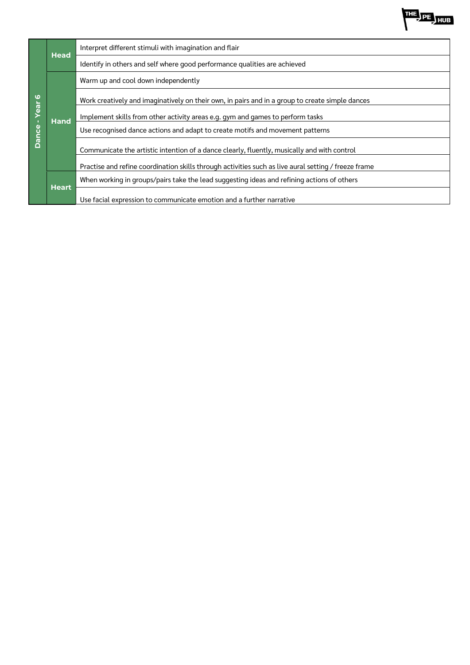| ဖ<br>Year<br>Dance- | <b>Head</b>  | Interpret different stimuli with imagination and flair                                               |
|---------------------|--------------|------------------------------------------------------------------------------------------------------|
|                     |              | Identify in others and self where good performance qualities are achieved                            |
|                     | <b>Hand</b>  | Warm up and cool down independently                                                                  |
|                     |              | Work creatively and imaginatively on their own, in pairs and in a group to create simple dances      |
|                     |              | Implement skills from other activity areas e.g. gym and games to perform tasks                       |
|                     |              | Use recognised dance actions and adapt to create motifs and movement patterns                        |
|                     |              | Communicate the artistic intention of a dance clearly, fluently, musically and with control          |
|                     |              | Practise and refine coordination skills through activities such as live aural setting / freeze frame |
|                     | <b>Heart</b> | When working in groups/pairs take the lead suggesting ideas and refining actions of others           |
|                     |              | Use facial expression to communicate emotion and a further narrative                                 |